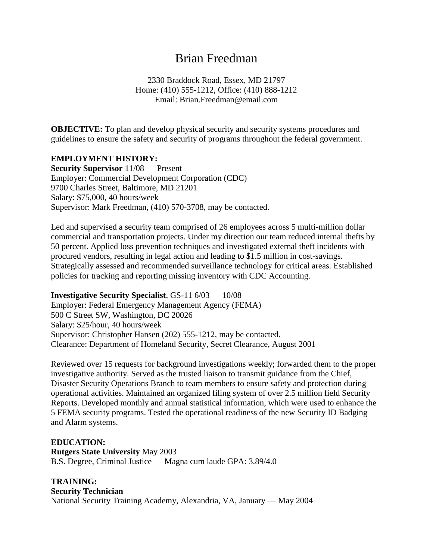# Brian Freedman

2330 Braddock Road, Essex, MD 21797 Home: (410) 555-1212, Office: (410) 888-1212 Email: Brian.Freedman@email.com

**OBJECTIVE:** To plan and develop physical security and security systems procedures and guidelines to ensure the safety and security of programs throughout the federal government.

### **EMPLOYMENT HISTORY:**

**Security Supervisor** 11/08 — Present Employer: Commercial Development Corporation (CDC) 9700 Charles Street, Baltimore, MD 21201 Salary: \$75,000, 40 hours/week Supervisor: Mark Freedman, (410) 570-3708, may be contacted.

Led and supervised a security team comprised of 26 employees across 5 multi-million dollar commercial and transportation projects. Under my direction our team reduced internal thefts by 50 percent. Applied loss prevention techniques and investigated external theft incidents with procured vendors, resulting in legal action and leading to \$1.5 million in cost-savings. Strategically assessed and recommended surveillance technology for critical areas. Established policies for tracking and reporting missing inventory with CDC Accounting.

**Investigative Security Specialist**, GS-11 6/03 — 10/08 Employer: Federal Emergency Management Agency (FEMA) 500 C Street SW, Washington, DC 20026 Salary: \$25/hour, 40 hours/week Supervisor: Christopher Hansen (202) 555-1212, may be contacted. Clearance: Department of Homeland Security, Secret Clearance, August 2001

Reviewed over 15 requests for background investigations weekly; forwarded them to the proper investigative authority. Served as the trusted liaison to transmit guidance from the Chief, Disaster Security Operations Branch to team members to ensure safety and protection during operational activities. Maintained an organized filing system of over 2.5 million field Security Reports. Developed monthly and annual statistical information, which were used to enhance the 5 FEMA security programs. Tested the operational readiness of the new Security ID Badging and Alarm systems.

### **EDUCATION:**

**Rutgers State University** May 2003 B.S. Degree, Criminal Justice — Magna cum laude GPA: 3.89/4.0

# **TRAINING:**

**Security Technician**

National Security Training Academy, Alexandria, VA, January — May 2004